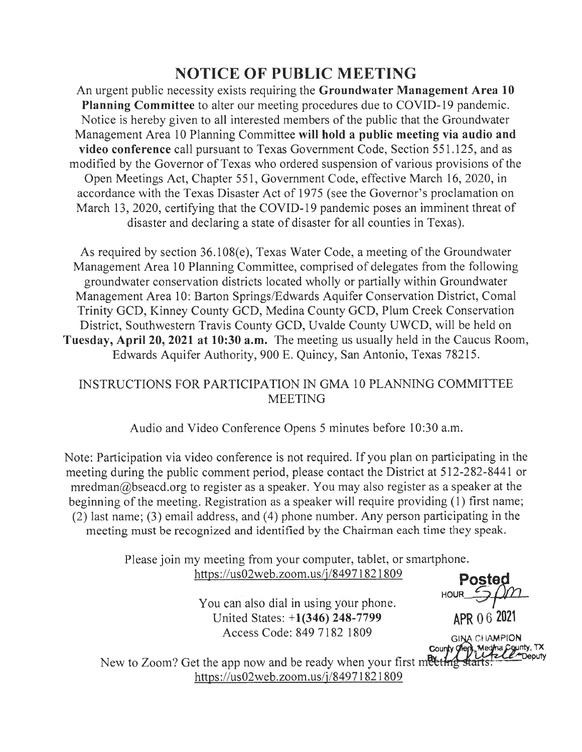## **NOTICE OF PUBLIC MEETING**

An urgent public necessity exists requiring the **Groundwater Management Area 10 Planning Committee** to alter our meeting procedures due to COVID-19 pandemic. Notice is hereby given to all interested members of the public that the Groundwater Management Area 10 Planning Committee **will hold a public meeting via audio and video conference** call pursuant to Texas Government Code, Section 551 .125, and as modified by the Governor of Texas who ordered suspension of various provisions of the Open Meetings Act, Chapter 551, Government Code, effective March 16, 2020, in accordance with the Texas Disaster Act of 1975 (see the Governor's proclamation on March 13, 2020, certifying that the COVID-19 pandemic poses an imminent threat of disaster and declaring a state of disaster for all counties in Texas).

As required by section 36.108(e), Texas Water Code, a meeting of the Groundwater Management Area 10 Planning Committee, comprised of delegates from the following groundwater conservation districts located wholly or partially within Groundwater Management Area 10: Barton Springs/Edwards Aquifer Conservation District, Comal Trinity GCD, Kinney County GCD, Medina County GCD, Plum Creek Conservation District, Southwestern Travis County GCD, Uvalde County UWCD, will be held on **Tuesday, April 20, 2021 at 10:30 a.m.** The meeting us usually held in the Caucus Room, Edwards Aquifer Authority, 900 E. Quincy, San Antonio, Texas 78215.

## INSTRUCTIONS FOR PARTICIPATION IN GMA 10 PLANNING COMMITTEE MEETING

Audio and Video Conference Opens 5 minutes before 10:30 a.m.

Note: Participation via video conference is not required. If you plan on participating in the meeting during the public comment period, please contact the District at 512-282-8441 or  $m$ redman $@$ bseacd.org to register as a speaker. You may also register as a speaker at the beginning of the meeting. Registration as a speaker will require providing (1) first name; (2) last name; (3) email address, and (4) phone number. Any person participating in the meeting must be recognized and identified by the Chairman each time they speak.

> Please join my meeting from your computer, tablet, or smartphone. https :/ /us02web.zoom.us/j/84971821809 **Po~pn**

> > You can also dial in using your phone. United States: + **1 (346) 248-**7799 **APR** O 6 **<sup>2021</sup>** Access Code: 849 7182 1809 **6 121 CHAMPION**

**HOUR** 

**County** *O Meg* · 062021<br>CHAMPION<br>Medina County, TX<br>Let Cheputy<br>arts.  $s^L$ 

New to Zoom? Get the app now and be ready when your first meeting https://us02web.zoom.us/j/8497182 l 809